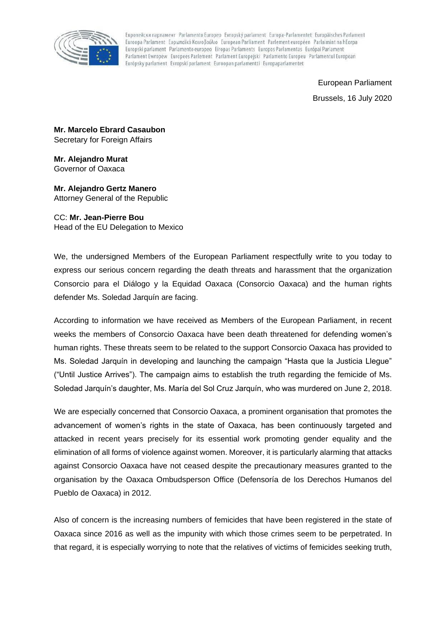

Европейски парламент Parlamento Europeo Evropský parlament Europa-Parlamentet Europäisches Parlament Euroopa Parlament Eυρωπαϊκό Κοινοβούλιο European Parliament Parlement européen Parlaimint na hEorpa Europski parlament Parlamento europeo Eiropas Parlaments Europos Parlamentas Európai Parlament Parlament Ewropew Europees Parlement Parlament Europejski Parlamento Europeu Parlamentul European Európsky parlament Evropski parlament Euroopan parlamentti Europaparlamentet

> European Parliament Brussels, 16 July 2020

**Mr. Marcelo Ebrard Casaubon** Secretary for Foreign Affairs

**Mr. Alejandro Murat** Governor of Oaxaca

**Mr. Alejandro Gertz Manero** Attorney General of the Republic

CC: **Mr. Jean-Pierre Bou** Head of the EU Delegation to Mexico

We, the undersigned Members of the European Parliament respectfully write to you today to express our serious concern regarding the death threats and harassment that the organization Consorcio para el Diálogo y la Equidad Oaxaca (Consorcio Oaxaca) and the human rights defender Ms. Soledad Jarquín are facing.

According to information we have received as Members of the European Parliament, in recent weeks the members of Consorcio Oaxaca have been death threatened for defending women's human rights. These threats seem to be related to the support Consorcio Oaxaca has provided to Ms. Soledad Jarquín in developing and launching the campaign "Hasta que la Justicia Llegue" ("Until Justice Arrives"). The campaign aims to establish the truth regarding the femicide of Ms. Soledad Jarquín's daughter, Ms. María del Sol Cruz Jarquín, who was murdered on June 2, 2018.

We are especially concerned that Consorcio Oaxaca, a prominent organisation that promotes the advancement of women's rights in the state of Oaxaca, has been continuously targeted and attacked in recent years precisely for its essential work promoting gender equality and the elimination of all forms of violence against women. Moreover, it is particularly alarming that attacks against Consorcio Oaxaca have not ceased despite the precautionary measures granted to the organisation by the Oaxaca Ombudsperson Office (Defensoría de los Derechos Humanos del Pueblo de Oaxaca) in 2012.

Also of concern is the increasing numbers of femicides that have been registered in the state of Oaxaca since 2016 as well as the impunity with which those crimes seem to be perpetrated. In that regard, it is especially worrying to note that the relatives of victims of femicides seeking truth,